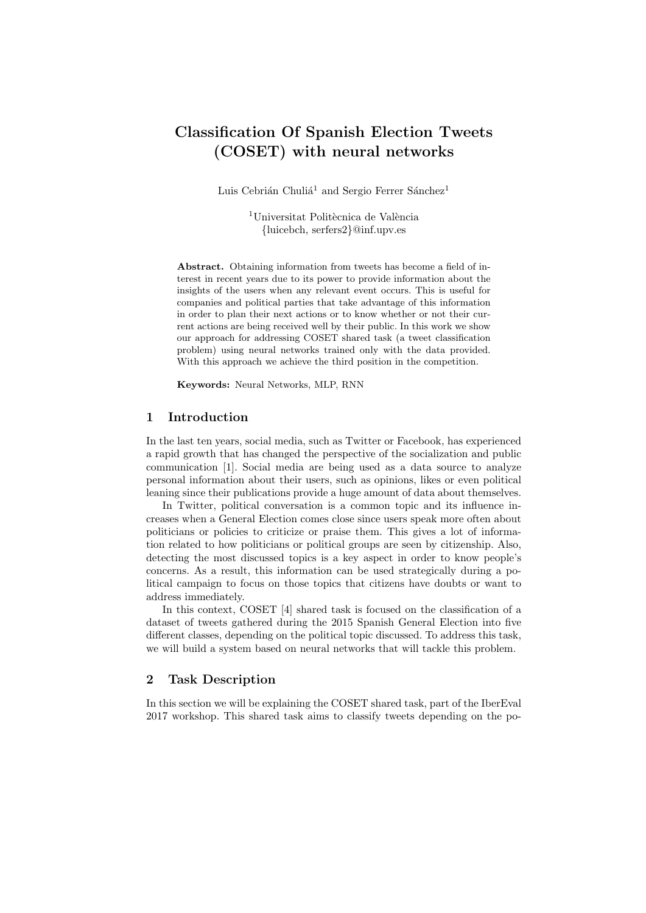# Classification Of Spanish Election Tweets (COSET) with neural networks

Luis Cebrián Chuliá<sup>1</sup> and Sergio Ferrer Sánchez<sup>1</sup>

<sup>1</sup>Universitat Politècnica de València {luicebch, serfers2}@inf.upv.es

Abstract. Obtaining information from tweets has become a field of interest in recent years due to its power to provide information about the insights of the users when any relevant event occurs. This is useful for companies and political parties that take advantage of this information in order to plan their next actions or to know whether or not their current actions are being received well by their public. In this work we show our approach for addressing COSET shared task (a tweet classification problem) using neural networks trained only with the data provided. With this approach we achieve the third position in the competition.

Keywords: Neural Networks, MLP, RNN

#### 1 Introduction

In the last ten years, social media, such as Twitter or Facebook, has experienced a rapid growth that has changed the perspective of the socialization and public communication [1]. Social media are being used as a data source to analyze personal information about their users, such as opinions, likes or even political leaning since their publications provide a huge amount of data about themselves.

In Twitter, political conversation is a common topic and its influence increases when a General Election comes close since users speak more often about politicians or policies to criticize or praise them. This gives a lot of information related to how politicians or political groups are seen by citizenship. Also, detecting the most discussed topics is a key aspect in order to know people's concerns. As a result, this information can be used strategically during a political campaign to focus on those topics that citizens have doubts or want to address immediately.

In this context, COSET [4] shared task is focused on the classification of a dataset of tweets gathered during the 2015 Spanish General Election into five different classes, depending on the political topic discussed. To address this task, we will build a system based on neural networks that will tackle this problem.

## 2 Task Description

In this section we will be explaining the COSET shared task, part of the IberEval 2017 workshop. This shared task aims to classify tweets depending on the po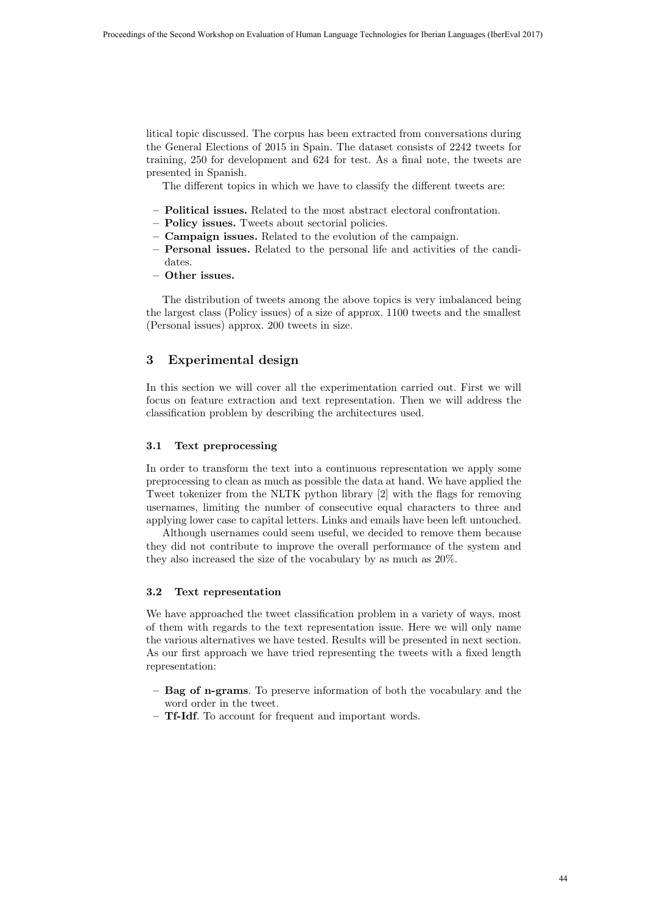litical topic discussed. The corpus has been extracted from conversations during the General Elections of 2015 in Spain. The dataset consists of 2242 tweets for training, 250 for development and 624 for test. As a final note, the tweets are presented in Spanish.

The different topics in which we have to classify the different tweets are:

- Political issues. Related to the most abstract electoral confrontation.
- Policy issues. Tweets about sectorial policies.
- Campaign issues. Related to the evolution of the campaign.
- Personal issues. Related to the personal life and activities of the candidates.
- Other issues.

The distribution of tweets among the above topics is very imbalanced being the largest class (Policy issues) of a size of approx. 1100 tweets and the smallest (Personal issues) approx. 200 tweets in size.

# 3 Experimental design

In this section we will cover all the experimentation carried out. First we will focus on feature extraction and text representation. Then we will address the classification problem by describing the architectures used.

#### 3.1 Text preprocessing

In order to transform the text into a continuous representation we apply some preprocessing to clean as much as possible the data at hand. We have applied the Tweet tokenizer from the NLTK python library [2] with the flags for removing usernames, limiting the number of consecutive equal characters to three and applying lower case to capital letters. Links and emails have been left untouched.

Although usernames could seem useful, we decided to remove them because they did not contribute to improve the overall performance of the system and they also increased the size of the vocabulary by as much as 20%.

#### 3.2 Text representation

We have approached the tweet classification problem in a variety of ways, most of them with regards to the text representation issue. Here we will only name the various alternatives we have tested. Results will be presented in next section. As our first approach we have tried representing the tweets with a fixed length representation:

- Bag of n-grams. To preserve information of both the vocabulary and the word order in the tweet.
- Tf-Idf. To account for frequent and important words.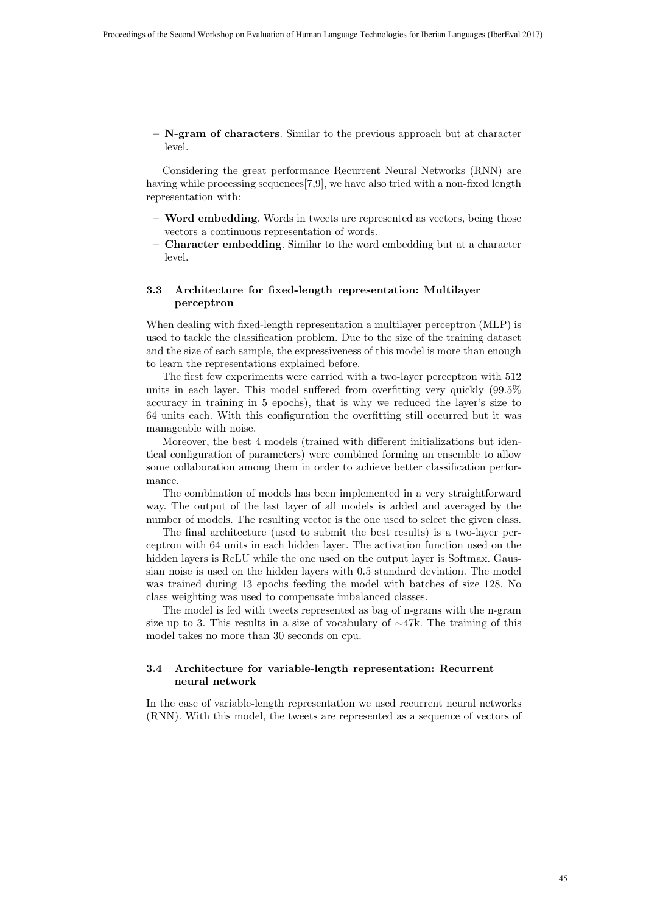$-$  N-gram of characters. Similar to the previous approach but at character level.

Considering the great performance Recurrent Neural Networks (RNN) are having while processing sequences[7,9], we have also tried with a non-fixed length representation with:

- Word embedding. Words in tweets are represented as vectors, being those vectors a continuous representation of words.
- Character embedding. Similar to the word embedding but at a character level.

## 3.3 Architecture for fixed-length representation: Multilayer perceptron

When dealing with fixed-length representation a multilayer perceptron (MLP) is used to tackle the classification problem. Due to the size of the training dataset and the size of each sample, the expressiveness of this model is more than enough to learn the representations explained before.

The first few experiments were carried with a two-layer perceptron with 512 units in each layer. This model suffered from overfitting very quickly (99.5% accuracy in training in 5 epochs), that is why we reduced the layer's size to 64 units each. With this configuration the overfitting still occurred but it was manageable with noise.

Moreover, the best 4 models (trained with different initializations but identical configuration of parameters) were combined forming an ensemble to allow some collaboration among them in order to achieve better classification performance.

The combination of models has been implemented in a very straightforward way. The output of the last layer of all models is added and averaged by the number of models. The resulting vector is the one used to select the given class.

The final architecture (used to submit the best results) is a two-layer perceptron with 64 units in each hidden layer. The activation function used on the hidden layers is ReLU while the one used on the output layer is Softmax. Gaussian noise is used on the hidden layers with 0.5 standard deviation. The model was trained during 13 epochs feeding the model with batches of size 128. No class weighting was used to compensate imbalanced classes.

The model is fed with tweets represented as bag of n-grams with the n-gram size up to 3. This results in a size of vocabulary of  $\sim$ 47k. The training of this model takes no more than 30 seconds on cpu.

## 3.4 Architecture for variable-length representation: Recurrent neural network

In the case of variable-length representation we used recurrent neural networks (RNN). With this model, the tweets are represented as a sequence of vectors of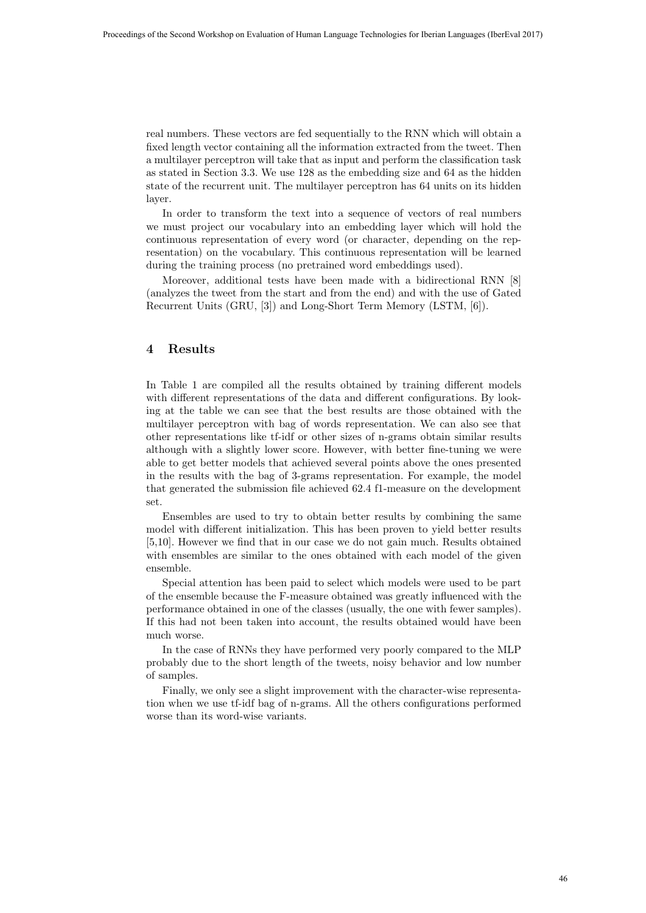real numbers. These vectors are fed sequentially to the RNN which will obtain a fixed length vector containing all the information extracted from the tweet. Then a multilayer perceptron will take that as input and perform the classification task as stated in Section 3.3. We use 128 as the embedding size and 64 as the hidden state of the recurrent unit. The multilayer perceptron has 64 units on its hidden layer.

In order to transform the text into a sequence of vectors of real numbers we must project our vocabulary into an embedding layer which will hold the continuous representation of every word (or character, depending on the representation) on the vocabulary. This continuous representation will be learned during the training process (no pretrained word embeddings used).

Moreover, additional tests have been made with a bidirectional RNN [8] (analyzes the tweet from the start and from the end) and with the use of Gated Recurrent Units (GRU, [3]) and Long-Short Term Memory (LSTM, [6]).

# 4 Results

In Table 1 are compiled all the results obtained by training different models with different representations of the data and different configurations. By looking at the table we can see that the best results are those obtained with the multilayer perceptron with bag of words representation. We can also see that other representations like tf-idf or other sizes of n-grams obtain similar results although with a slightly lower score. However, with better fine-tuning we were able to get better models that achieved several points above the ones presented in the results with the bag of 3-grams representation. For example, the model that generated the submission file achieved 62.4 f1-measure on the development set.

Ensembles are used to try to obtain better results by combining the same model with different initialization. This has been proven to yield better results [5,10]. However we find that in our case we do not gain much. Results obtained with ensembles are similar to the ones obtained with each model of the given ensemble.

Special attention has been paid to select which models were used to be part of the ensemble because the F-measure obtained was greatly influenced with the performance obtained in one of the classes (usually, the one with fewer samples). If this had not been taken into account, the results obtained would have been much worse.

In the case of RNNs they have performed very poorly compared to the MLP probably due to the short length of the tweets, noisy behavior and low number of samples.

Finally, we only see a slight improvement with the character-wise representation when we use tf-idf bag of n-grams. All the others configurations performed worse than its word-wise variants.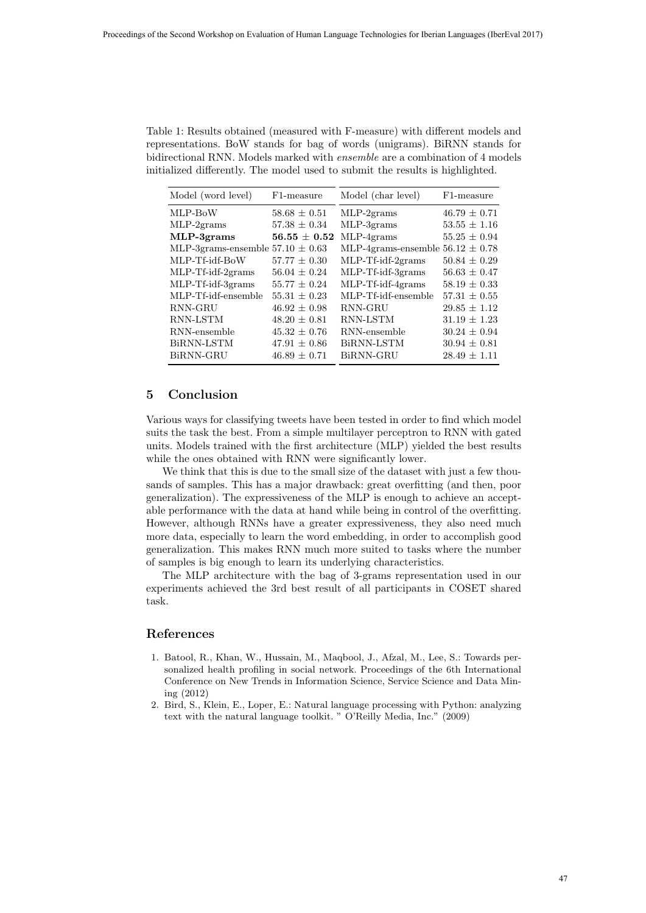Table 1: Results obtained (measured with F-measure) with different models and representations. BoW stands for bag of words (unigrams). BiRNN stands for bidirectional RNN. Models marked with ensemble are a combination of 4 models initialized differently. The model used to submit the results is highlighted.

| Model (word level)                   | F1-measure           | Model (char level)                   | F1-measure       |
|--------------------------------------|----------------------|--------------------------------------|------------------|
| MLP-BoW                              | $58.68 \pm 0.51$     | $MLP-2grams$                         | $46.79 \pm 0.71$ |
| $MLP-2grams$                         | $57.38 \pm 0.34$     | $MLP-3$ grams                        | $53.55 \pm 1.16$ |
| $MLP-3$ grams                        | $56.55 \,\pm\, 0.52$ | $MLP-4$ grams                        | $55.25 \pm 0.94$ |
| MLP-3grams-ensemble $57.10 \pm 0.63$ |                      | MLP-4grams-ensemble $56.12 \pm 0.78$ |                  |
| MLP-Tf-idf-BoW                       | $57.77 \pm 0.30$     | MLP-Tf-idf-2grams                    | $50.84 \pm 0.29$ |
| MLP-Tf-idf-2grams                    | $56.04 \pm 0.24$     | MLP-Tf-idf-3grams                    | $56.63 \pm 0.47$ |
| MLP-Tf-idf-3grams                    | $55.77 \pm 0.24$     | $MLP-Tf-idf-4grams$                  | $58.19 \pm 0.33$ |
| MLP-Tf-idf-ensemble                  | $55.31 \pm 0.23$     | MLP-Tf-idf-ensemble                  | $57.31 \pm 0.55$ |
| RNN-GRU                              | $46.92 \pm 0.98$     | RNN-GRU                              | $29.85 \pm 1.12$ |
| RNN-LSTM                             | $48.20 \pm 0.81$     | RNN-LSTM                             | $31.19 \pm 1.23$ |
| RNN-ensemble                         | $45.32 \pm 0.76$     | RNN-ensemble                         | $30.24 \pm 0.94$ |
| BiRNN-LSTM                           | $47.91 \pm 0.86$     | BiRNN-LSTM                           | $30.94 \pm 0.81$ |
| BiRNN-GRU                            | $46.89 \pm 0.71$     | BiRNN-GRU                            | $28.49 \pm 1.11$ |

## 5 Conclusion

Various ways for classifying tweets have been tested in order to find which model suits the task the best. From a simple multilayer perceptron to RNN with gated units. Models trained with the first architecture (MLP) yielded the best results while the ones obtained with RNN were significantly lower.

We think that this is due to the small size of the dataset with just a few thousands of samples. This has a major drawback: great overfitting (and then, poor generalization). The expressiveness of the MLP is enough to achieve an acceptable performance with the data at hand while being in control of the overfitting. However, although RNNs have a greater expressiveness, they also need much more data, especially to learn the word embedding, in order to accomplish good generalization. This makes RNN much more suited to tasks where the number of samples is big enough to learn its underlying characteristics.

The MLP architecture with the bag of 3-grams representation used in our experiments achieved the 3rd best result of all participants in COSET shared task.

# References

- 1. Batool, R., Khan, W., Hussain, M., Maqbool, J., Afzal, M., Lee, S.: Towards personalized health profiling in social network. Proceedings of the 6th International Conference on New Trends in Information Science, Service Science and Data Mining (2012)
- 2. Bird, S., Klein, E., Loper, E.: Natural language processing with Python: analyzing text with the natural language toolkit. " O'Reilly Media, Inc." (2009)